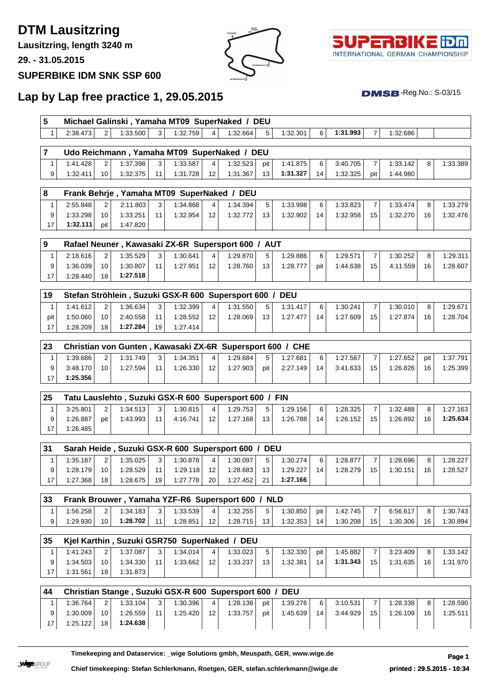**DTM Lausitzring**

**Lausitzring, length 3240 m**

**29. - 31.05.2015**

## **SUPERBIKE IDM SNK SSP 600**





 $DMSB$ -Reg.No.:  $S-03/15$ 

## **Lap by Lap free practice 1, 29.05.2015**

|          |          | Michael Galinski, Yamaha MT09 SuperNaked |   |          | DEU |          |   |          |          |  |
|----------|----------|------------------------------------------|---|----------|-----|----------|---|----------|----------|--|
| 2:38.473 | 1:33.500 | 1:32.759                                 | 4 | 1:32.664 |     | 1:32.301 | 6 | 1:31.993 | 1:32.686 |  |

|          |    |          |                | Udo Reichmann, Yamaha MT09 SuperNaked / DEU |                 |          |     |          |    |          |       |          |          |
|----------|----|----------|----------------|---------------------------------------------|-----------------|----------|-----|----------|----|----------|-------|----------|----------|
| 1:41.428 |    | 1:37.398 | 3 <sup>1</sup> | 1:33.587                                    |                 | 1:32.523 | pit | 1:41.875 | 6  | 3:40.705 |       | 1:33.142 | 1:33.389 |
| 1:32.411 | 10 | 1:32.375 | 11             | 1:31.728                                    | 12 <sup>2</sup> | 1:31.367 | 13  | 1:31.327 | 14 | 1:32.325 | pit l | 1:44.980 |          |

| 8 |          |                 |          |    |          |                 | Frank Behrje, Yamaha MT09 SuperNaked / DEU |                 |          |    |          |                 |          |                 |          |
|---|----------|-----------------|----------|----|----------|-----------------|--------------------------------------------|-----------------|----------|----|----------|-----------------|----------|-----------------|----------|
|   | 2:55.848 | $\mathcal{P}$   | 2:11.803 | 3  | 1:34.868 | $\vert$ 4       | 1:34.394                                   | 5 <sup>1</sup>  | 1:33.998 | 6  | 1:33.823 |                 | 1:33.474 | 8               | 1:33.279 |
|   | 1:33.298 | 10 <sup>1</sup> | 1:33.251 | 11 | 1:32.954 | 12 <sub>1</sub> | 1:32.772                                   | 13 <sup>1</sup> | 1:32.902 | 14 | 1:32.958 | 15 <sup>1</sup> | 1:32.270 | 16 <sub>1</sub> | 1:32.476 |
|   | 1:32.111 | pit             | 1:47.820 |    |          |                 |                                            |                 |          |    |          |                 |          |                 |          |

| و ا |          |                 |          |                |          |                 | Rafael Neuner, Kawasaki ZX-6R Supersport 600 / AUT |    |          |     |          |                 |          |    |          |
|-----|----------|-----------------|----------|----------------|----------|-----------------|----------------------------------------------------|----|----------|-----|----------|-----------------|----------|----|----------|
|     | 2:18.616 | $\mathcal{D}$   | 1:35.529 | 3 <sup>1</sup> | 1:30.641 |                 | 1:29.870                                           |    | 1:29.886 | 6   | 1:29.571 |                 | 1:30.252 | 8  | 1:29.311 |
|     | 1:36.039 | 10 <sup>1</sup> | 1:30.807 | 11.            | 1:27.951 | 12 <sub>1</sub> | 1:28.760                                           | 13 | 1:28.777 | pit | 1:44.638 | 15 <sub>1</sub> | 4:11.559 | 16 | 1:28.607 |
|     | 1:28.440 | 18              | 1:27.518 |                |          |                 |                                                    |    |          |     |          |                 |          |    |          |

| l 19 |          |                 |          |                 | Stefan Ströhlein, Suzuki GSX-R 600 Supersport 600 / DEU |                 |          |    |          |    |          |                 |          |    |          |
|------|----------|-----------------|----------|-----------------|---------------------------------------------------------|-----------------|----------|----|----------|----|----------|-----------------|----------|----|----------|
|      | 1:41.612 | 2               | 1:36.634 | 3 <sup>1</sup>  | 1:32.399                                                | $\vert$ $\vert$ | 1:31.550 |    | 1:31.417 | 6  | 1:30.241 |                 | 1:30.010 |    | 1:29.671 |
| pit  | 1:50.060 | 10 <sup>1</sup> | 2:40.558 | 11              | 1:28.552                                                | 12 <sup>1</sup> | 1:28.069 | 13 | 1:27.477 | 14 | 1:27.609 | 15 <sup>1</sup> | 1:27.874 | 16 | 1:28.704 |
| 17   | 1:28.209 | 18              | 1:27.284 | 19 <sup>1</sup> | $1:27.414$ .                                            |                 |          |    |          |    |          |                 |          |    |          |

| 23 |          |    |          |                 |          |                 |          |     | Christian von Gunten, Kawasaki ZX-6R Supersport 600 / CHE |    |          |                 |          |     |          |
|----|----------|----|----------|-----------------|----------|-----------------|----------|-----|-----------------------------------------------------------|----|----------|-----------------|----------|-----|----------|
|    | 1:39.686 | 2  | 1:31.749 | 3 <sup>1</sup>  | 1:34.351 | $\overline{4}$  | 1:29.684 | 5.  | 1:27.681                                                  | 6  | 1:27.567 |                 | 1:27.652 | pit | 1:37.791 |
|    | 3:48.170 | 10 | 1:27.594 | 11 <sub>1</sub> | 1:26.330 | 12 <sub>1</sub> | 1:27.903 | pit | 2:27.149                                                  | 14 | 3:41.633 | 15 <sup>1</sup> | 1:26.826 | 16  | 1:25.399 |
|    | 1:25.356 |    |          |                 |          |                 |          |     |                                                           |    |          |                 |          |     |          |

| 25 |          |       |          |    |          |                  | Tatu Lauslehto, Suzuki GSX-R 600 Supersport 600 / FIN |    |          |    |          |    |          |                 |          |
|----|----------|-------|----------|----|----------|------------------|-------------------------------------------------------|----|----------|----|----------|----|----------|-----------------|----------|
|    | 3:25.801 |       | 1:34.513 | 3  | 1:30.815 | $\mathbf{A}$     | 1:29.753                                              | Б. | 1:29.156 | 6  | 1:28.325 |    | 1:32.488 | 8               | 1:27.163 |
|    | 1:26.887 | pit l | 1:43.993 | 11 | 4:16.741 | 12 <sup>12</sup> | 1:27.168                                              | 13 | 1:26.788 | 14 | 1:26.152 | 15 | 1:26.892 | 16 <sub>1</sub> | 1:25.634 |
|    | 1:26.485 |       |          |    |          |                  |                                                       |    |          |    |          |    |          |                 |          |

| <b>31</b> |          |    |          |                |          |                 | Sarah Heide, Suzuki GSX-R 600 Supersport 600 / DEU |     |          |    |          |    |          |    |          |
|-----------|----------|----|----------|----------------|----------|-----------------|----------------------------------------------------|-----|----------|----|----------|----|----------|----|----------|
|           | 1:35.187 |    | 1:35.025 | 3 <sup>1</sup> | 1:30.878 | $\overline{4}$  | 1:30.097                                           |     | 1:30.274 | 6  | 1:28.877 |    | 1:28.696 |    | 1:28.227 |
|           | 1:28.179 | 10 | 1:28.529 | 11.            | 1:29.118 | 12 <sup>2</sup> | 1:28.683                                           | 13. | 1:29.227 | 14 | 1:28.279 | 15 | 1:30.151 | 16 | 1:28.527 |
| 17        | 1:27.368 | 18 | 1:28.675 | 19             | 1:27.778 | 20              | 1:27.452                                           | 21  | 1:27.166 |    |          |    |          |    |          |

| 33 |                     |    |          |    | Frank Brouwer, Yamaha YZF-R6 Supersport 600 / NLD |              |          |          |     |          |    |          |    |          |
|----|---------------------|----|----------|----|---------------------------------------------------|--------------|----------|----------|-----|----------|----|----------|----|----------|
|    | $^{\prime}$ :56.258 |    | 1:34.183 | 3  | 1:33.539                                          | $\mathbf{A}$ | 1:32.255 | 1:30.850 | pit | 1:42.745 |    | 6:56.617 |    | 1:30.743 |
|    | 1:29.930            | 10 | 1:28.702 | 11 | 1:28.851                                          | 12           | 1:28.715 | 1:32.353 | 14  | 1:30.208 | 15 | 1:30.306 | 16 | 1:30.894 |

| 35 |          |                 |          |                | Kjel Karthin, Suzuki GSR750 SuperNaked / DEU |                 |          |                |          |       |          |                 |          |                |          |
|----|----------|-----------------|----------|----------------|----------------------------------------------|-----------------|----------|----------------|----------|-------|----------|-----------------|----------|----------------|----------|
|    | 1:41.243 | 2               | 1:37.087 | 3 <sup>1</sup> | 1:34.014                                     | $\overline{4}$  | 1:33.023 | 5 <sup>1</sup> | 1:32.330 | pit l | 1:45.882 |                 | 3:23.409 | 8 <sub>1</sub> | 1:33.142 |
| 9  | 1:34.503 | 10 <sup>1</sup> | 1:34.330 | 11             | 1:33.662                                     | 12 <sup>2</sup> | 1:33.237 | 13             | 1:32.381 | 14    | 1:31.343 | 15 <sup>1</sup> | 1:31.635 | 16             | 1:31.970 |
|    | 1:31.561 | 18              | 1:31.873 |                |                                              |                 |          |                |          |       |          |                 |          |                |          |

| 44  |          |                 |          |                |          |                 | Christian Stange, Suzuki GSX-R 600 Supersport 600 / DEU |       |          |    |          |    |          |    |          |
|-----|----------|-----------------|----------|----------------|----------|-----------------|---------------------------------------------------------|-------|----------|----|----------|----|----------|----|----------|
|     | 1:36.764 | 2 <sup>1</sup>  | 1:33.104 | 3 <sup>1</sup> | 1:30.396 | $\vert$ 4       | 1:28.136                                                | pit I | 1:39.276 | 6  | 3:10.531 |    | 1:28.338 |    | 1:28.590 |
| 9   | 1:30.009 | 10 <sup>1</sup> | 1:26.559 | 11             | 1:25.420 | 12 <sup>1</sup> | 1:33.757                                                | pit   | 1:45.639 | 14 | 3:44.929 | 15 | 1:26.109 | 16 | 1:25.511 |
| 17. | 1:25.122 | 18 <sup>1</sup> | 1:24.638 |                |          |                 |                                                         |       |          |    |          |    |          |    |          |

**Timekeeping and Dataservice: \_wige Solutions gmbh, Meuspath, GER, www.wige.de Page 1**